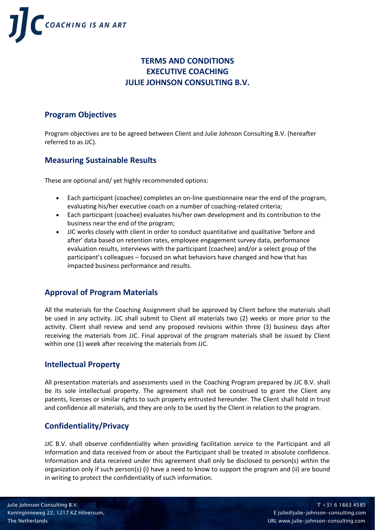

# **TERMS AND CONDITIONS EXECUTIVE COACHING JULIE JOHNSON CONSULTING B.V.**

## **Program Objectives**

Program objectives are to be agreed between Client and Julie Johnson Consulting B.V. (hereafter referred to as JJC).

## **Measuring Sustainable Results**

These are optional and/ yet highly recommended options:

- Each participant (coachee) completes an on-line questionnaire near the end of the program, evaluating his/her executive coach on a number of coaching-related criteria;
- Each participant (coachee) evaluates his/her own development and its contribution to the business near the end of the program;
- JJC works closely with client in order to conduct quantitative and qualitative 'before and after' data based on retention rates, employee engagement survey data, performance evaluation results, interviews with the participant (coachee) and/or a select group of the participant's colleagues – focused on what behaviors have changed and how that has impacted business performance and results.

## **Approval of Program Materials**

All the materials for the Coaching Assignment shall be approved by Client before the materials shall be used in any activity. JJC shall submit to Client all materials two (2) weeks or more prior to the activity. Client shall review and send any proposed revisions within three (3) business days after receiving the materials from JJC. Final approval of the program materials shall be issued by Client within one (1) week after receiving the materials from JJC.

## **Intellectual Property**

All presentation materials and assessments used in the Coaching Program prepared by JJC B.V. shall be its sole intellectual property. The agreement shall not be construed to grant the Client any patents, licenses or similar rights to such property entrusted hereunder. The Client shall hold in trust and confidence all materials, and they are only to be used by the Client in relation to the program.

## **Confidentiality/Privacy**

JJC B.V. shall observe confidentiality when providing facilitation service to the Participant and all information and data received from or about the Participant shall be treated in absolute confidence. Information and data received under this agreement shall only be disclosed to person(s) within the organization only if such person(s) (i) have a need to know to support the program and (ii) are bound in writing to protect the confidentiality of such information.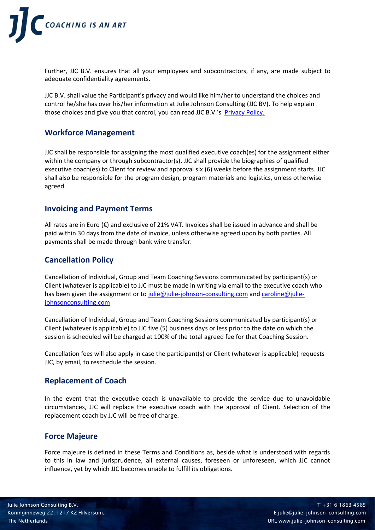

Further, JJC B.V. ensures that all your employees and subcontractors, if any, are made subject to adequate confidentiality agreements.

JJC B.V. shall value the Participant's privacy and would like him/her to understand the choices and control he/she has over his/her information at Julie Johnson Consulting (JJC BV). To help explain those choices and give you that control, you can read JJC B.V.'s [Privacy Policy.](https://www.julie-johnson-consulting.com/upload/66/files/JJC%20BV%20GDPR%20Privacy%20Policy%20May%202022.pdf)

#### **Workforce Management**

JJC shall be responsible for assigning the most qualified executive coach(es) for the assignment either within the company or through subcontractor(s). JJC shall provide the biographies of qualified executive coach(es) to Client for review and approval six (6) weeks before the assignment starts. JJC shall also be responsible for the program design, program materials and logistics, unless otherwise agreed.

#### **Invoicing and Payment Terms**

All rates are in Euro (€) and exclusive of 21% VAT. Invoices shall be issued in advance and shall be paid within 30 days from the date of invoice, unless otherwise agreed upon by both parties. All payments shall be made through bank wire transfer.

### **Cancellation Policy**

Cancellation of Individual, Group and Team Coaching Sessions communicated by participant(s) or Client (whatever is applicable) to JJC must be made in writing via email to the executive coach who has been given the assignment or to [julie@julie-johnson-consulting.com](mailto:julie@julie-johnson-consulting.com) an[d caroline@julie](mailto:caroline@julie-johnsonconsulting.com)[johnsonconsulting.com](mailto:caroline@julie-johnsonconsulting.com)

Cancellation of Individual, Group and Team Coaching Sessions communicated by participant(s) or Client (whatever is applicable) to JJC five (5) business days or less prior to the date on which the session is scheduled will be charged at 100% of the total agreed fee for that Coaching Session.

Cancellation fees will also apply in case the participant(s) or Client (whatever is applicable) requests JJC, by email, to reschedule the session.

#### **Replacement of Coach**

In the event that the executive coach is unavailable to provide the service due to unavoidable circumstances, JJC will replace the executive coach with the approval of Client. Selection of the replacement coach by JJC will be free of charge.

## **Force Majeure**

Force majeure is defined in these Terms and Conditions as, beside what is understood with regards to this in law and jurisprudence, all external causes, foreseen or unforeseen, which JJC cannot influence, yet by which JJC becomes unable to fulfill its obligations.